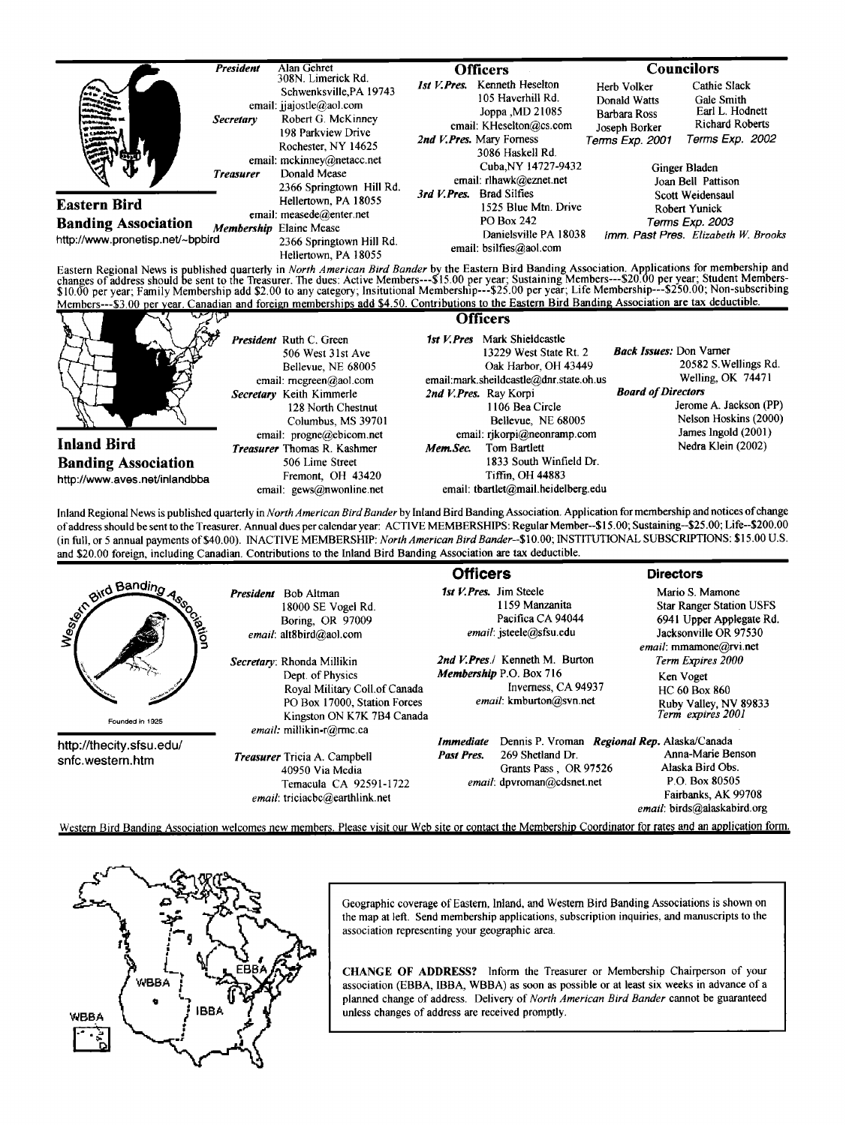|                                                                                                                                                     | <b>President</b>                     | Alan Gehret                                                                                                                                                                                                            | <b>Officers</b> |                                                                                                                                                                                         | <b>Councilors</b>                                                                           |                                                                                                                            |
|-----------------------------------------------------------------------------------------------------------------------------------------------------|--------------------------------------|------------------------------------------------------------------------------------------------------------------------------------------------------------------------------------------------------------------------|-----------------|-----------------------------------------------------------------------------------------------------------------------------------------------------------------------------------------|---------------------------------------------------------------------------------------------|----------------------------------------------------------------------------------------------------------------------------|
| м                                                                                                                                                   | <b>Secretary</b><br><b>Treasurer</b> | 308N. Limerick Rd.<br>Schwenksville, PA 19743<br>email: ijajostle@aol.com<br>Robert G. McKinney<br>198 Parkview Drive<br>Rochester, NY 14625<br>email: mckinney@netacc.net<br>Donald Mease<br>2366 Springtown Hill Rd. | 1st V.Pres.     | Kenneth Heselton<br>105 Haverhill Rd.<br>Joppa , MD 21085<br>email: KHeselton@cs.com<br>2nd V. Pres. Mary Forness<br>3086 Haskell Rd.<br>Cuba, NY 14727-9432<br>email: rlhawk@eznet.net | Herb Volker<br>Donald Watts<br>Barbara Ross<br>Joseph Borker<br>Terms Exp. 2001             | Cathie Slack<br>Gale Smith<br>Earl L. Hodnett<br>Richard Roberts<br>Terms Exp. 2002<br>Ginger Bladen<br>Joan Bell Pattison |
| <b>Eastern Bird</b><br><b>Banding Association</b><br>http://www.pronetisp.net/~bpbird                                                               |                                      | Hellertown, PA 18055<br>email: measede@enter.net<br>Membership Elaine Mease<br>2366 Springtown Hill Rd.<br>Hellertown, PA 18055                                                                                        | 3rd V. Pres.    | <b>Brad Silfies</b><br>1525 Blue Mtn. Drive<br>PO Box 242<br>Danielsville PA 18038<br>email: bsilfies@aol.com                                                                           | Scott Weidensaul<br>Robert Yunick<br>Terms Exp. 2003<br>Imm. Past Pres. Elizabeth W. Brooks |                                                                                                                            |
| Eastern Regional News is published quarterly in North American Bird Bander by the Eastern Bird Banding Association. Applications for membership and |                                      |                                                                                                                                                                                                                        |                 |                                                                                                                                                                                         |                                                                                             |                                                                                                                            |

Eastern Regional News is published quarterly in *North American Bird Bander* by the Eastern Bird Banding Association. Applications for membership and<br>changes of address should be sent to the Treasurer. The dues: Active Mem Members---\$3.00 per year. Canadian and foreign memberships add \$4.50. Contributions to the Eastern Bird Banding Association are tax deductible.



Inland Regional News is published quarterly in North American Bird Bander by Inland Bird Banding Association. Application for membership and notices of change **of address should be sent to the Treasurer. Annual dues per calendar year: ACTIVE MEMBERSHIPS: Regular Member--\$15.00; Sustaining--S25.00; Life--S200.00**  (in full, or 5 annual payments of \$40.00). INACTIVE MEMBERSHIP: North American Bird Bander--\$10.00; INSTITUTIONAL SUBSCRIPTIONS: \$15.00 U.S. **and \$20.00 foreign, including Canadian. Contributions to the Inland Bird Banding Association are tax deductible.** 

|                                              |                                                                                                                                                                           | <b>Officers</b>                                                                                             | <b>Directors</b>                                                                                                                                              |
|----------------------------------------------|---------------------------------------------------------------------------------------------------------------------------------------------------------------------------|-------------------------------------------------------------------------------------------------------------|---------------------------------------------------------------------------------------------------------------------------------------------------------------|
| and Banding<br>avion                         | Bob Altman<br>President<br>18000 SE Vogel Rd.<br>Boring, OR 97009<br>email: alt8bird@aol.com                                                                              | 1st V. Pres. Jim Steele<br>1159 Manzanita<br>Pacifica CA 94044<br>email: isteele@sfsu.edu                   | Mario S. Mamone<br><b>Star Ranger Station USFS</b><br>6941 Upper Applegate Rd.<br>Jacksonville OR 97530<br>email: mmamone@rvi.net                             |
| Founded in 1925                              | Secretary: Rhonda Millikin<br>Dept. of Physics<br>Royal Military Coll.of Canada<br>PO Box 17000, Station Forces<br>Kingston ON K7K 7B4 Canada<br>email: millikin-r@rmc.ca | 2nd V.Pres./ Kenneth M. Burton<br>Membership P.O. Box 716<br>Inverness, CA 94937<br>email: kmburton@svn.net | Term Expires 2000<br>Ken Voget<br><b>HC 60 Box 860</b><br>Ruby Valley, NV 89833<br>Term expires 2001                                                          |
| http://thecity.sfsu.edu/<br>snfc.western.htm | <b>Treasurer</b> Tricia A. Campbell<br>40950 Via Media<br>Temacula CA 92591-1722<br>email: triciacbc@earthlink.net                                                        | <b>Immediate</b><br>269 Shetland Dr.<br>Past Pres.<br>Grants Pass, OR 97526<br>email: dpvroman@cdsnet.net   | Dennis P. Vroman Regional Rep. Alaska/Canada<br>Anna-Marie Benson<br>Alaska Bird Obs.<br>P.O. Box 80505<br>Fairbanks, AK 99708<br>email: birds@alaskabird.org |
|                                              | Western Bird Banding Association welcomes new members. Please visit our Web site or contact the Membership Coordinator for rates and an application form.                 |                                                                                                             |                                                                                                                                                               |



Geographic coverage of Eastern, Inland, and Western Bird Banding Associations is shown on **the map at left. Send membership applications, subscription inquiries, and manuscripts to the association representing your geographic area.** 

**CHANGE OF ADDRESS? Inform the Treasurer or Membership Chairperson of your association (EBBA, IBBA, WBBA) as soon as possible or at least six weeks in advance of a planned change of address. Delivery of North American Bird Bander cannot be guaranteed unless changes of address are received promptly.**